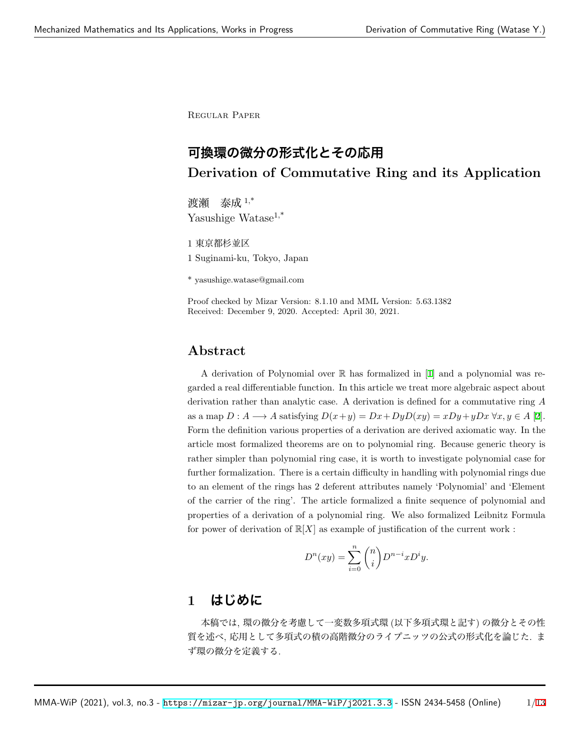Regular Paper

# **可換環の微分の形式化とその応用 Derivation of Commutative Ring and its Application**

渡瀬 泰成 1,\* Yasushige Watase<sup>1,\*</sup>

1 東京都杉並区 1 Suginami-ku, Tokyo, Japan

\* yasushige.watase@gmail.com

Proof checked by Mizar Version: 8.1.10 and MML Version: 5.63.1382 Received: December 9, 2020. Accepted: April 30, 2021.

### **Abstract**

A derivation of Polynomial over R has formalized in [[1\]](#page-5-0) and a polynomial was regarded a real differentiable function. In this article we treat more algebraic aspect about derivation rather than analytic case. A derivation is defined for a commutative ring *A* as a map  $D: A \longrightarrow A$  satisfying  $D(x+y) = Dx + DyD(xy) = xDy + yDx \,\forall x, y \in A$  [\[2](#page-6-0)]. Form the definition various properties of a derivation are derived axiomatic way. In the article most formalized theorems are on to polynomial ring. Because generic theory is rather simpler than polynomial ring case, it is worth to investigate polynomial case for further formalization. There is a certain difficulty in handling with polynomial rings due to an element of the rings has 2 deferent attributes namely 'Polynomial' and 'Element of the carrier of the ring'. The article formalized a finite sequence of polynomial and properties of a derivation of a polynomial ring. We also formalized Leibnitz Formula for power of derivation of  $\mathbb{R}[X]$  as example of justification of the current work :

$$
D^{n}(xy) = \sum_{i=0}^{n} {n \choose i} D^{n-i} x D^{i} y.
$$

# **1 はじめに**

本稿では, 環の微分を考慮して一変数多項式環 (以下多項式環と記す) の微分とその性 質を述べ, 応用として多項式の積の高階微分のライプニッツの公式の形式化を論じた. ま ず環の微分を定義する.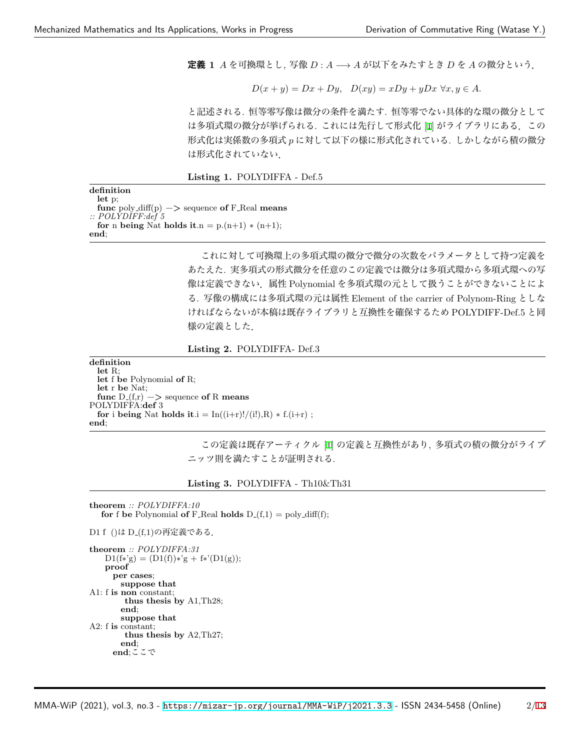**定義 1** *A* を可換環とし*,* 写像 *D* : *A −→ A* が以下をみたすとき *D* <sup>を</sup> *A* の微分という.

$$
D(x+y) = Dx + Dy, \quad D(xy) = xDy + yDx \,\,\forall x, y \in A.
$$

と記述される. 恒等零写像は微分の条件を満たす. 恒等零でない具体的な環の微分として は多項式環の微分が挙げられる. これには先行して形式化 [[1\]](#page-5-0) がライブラリにある.この 形式化は実係数の多項式 *p* に対して以下の様に形式化されている. しかしながら積の微分 は形式化されていない.

**Listing 1.** POLYDIFFA - Def.5

| definition                                                                       |
|----------------------------------------------------------------------------------|
| let p                                                                            |
| <b>func</b> poly_diff(p) $-\ge$ sequence of F_Real means<br>:: $POLYDIFF: def 5$ |
|                                                                                  |
| for n being Nat holds it.n = $p.(n+1) * (n+1);$                                  |
| end:                                                                             |

これに対して可換環上の多項式環の微分で微分の次数をパラメータとして持つ定義を あたえた. 実多項式の形式微分を任意のこの定義では微分は多項式環から多項式環への写 像は定義できない.属性 Polynomial を多項式環の元として扱うことができないことによ る. 写像の構成には多項式環の元は属性 Element of the carrier of Polynom-Ring としな ければならないが本稿は既存ライブラリと互換性を確保するため POLYDIFF-Def.5 と同 様の定義とした.

**Listing 2.** POLYDIFFA- Def.3

**definition let** R; **let** f **be** Polynomial **of** R; **let** r **be** Nat; **func**  $D(f,r) \rightarrow$  sequence of R means POLYDIFFA:**def** 3 **for** i **being** Nat **holds** it.i =  $\text{In}((i+r)!/(i!)$ , R)  $*$  f.( $i+r$ ); **end**;

> この定義は既存アーティクル [[1\]](#page-5-0) の定義と互換性があり, 多項式の積の微分がライプ ニッツ則を満たすことが証明される.

**Listing 3.** POLYDIFFA - Th10&Th31

```
theorem :: POLYDIFFA:10
   for f be Polynomial of F_Real holds D_{-}(f,1) = \text{poly-diff}(f);
```

```
D1 f ()は D_(f,1)の再定義である.
```

```
theorem :: POLYDIFFA:31
   D1(f*'g) = (D1(f))*'g + f*'(D1(g));proof
     per cases;
       suppose that
A1: f is non constant;
        thus thesis by A1,Th28;
       end;
       suppose that
A2: f is constant;
        thus thesis by A2,Th27;
       end;
     end;ここで
```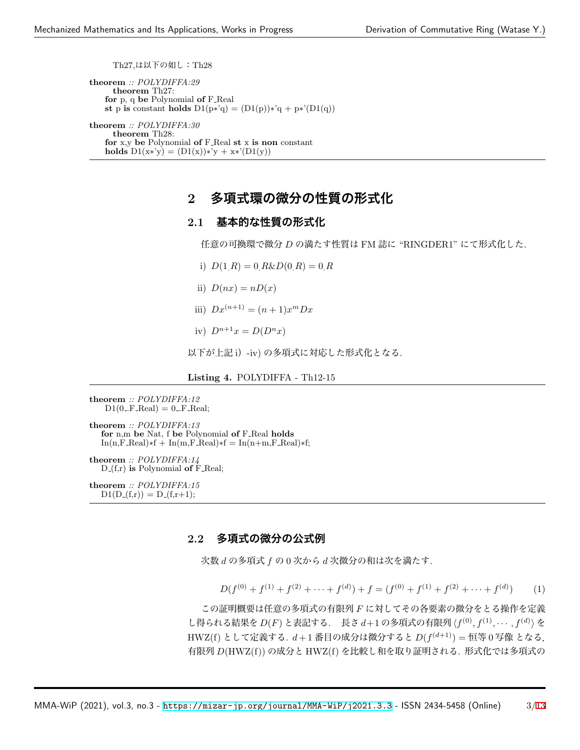Th27,は以下の如し:Th28

**theorem** *:: POLYDIFFA:29* **theorem** Th27: **for** p, q **be** Polynomial **of** F Real **st** p **is** constant **holds**  $D1(p*'q) = (D1(p))*'q + p*'(D1(q))$ 

**theorem** *:: POLYDIFFA:30* **theorem** Th28: **for** x,y **be** Polynomial **of** F Real **st** x **is non** constant **holds**  $D1(x*y) = (D1(x))*'y + x*(D1(y))$ 

# **2 多項式環の微分の性質の形式化**

### **2.1 基本的な性質の形式化**

任意の可換環で微分 *D* の満たす性質は FM 誌に "RINGDER1" にて形式化した.

- i)  $D(1, R) = 0$   $R\&D(0, R) = 0$   $R$
- ii)  $D(nx) = nD(x)$
- iii)  $Dx^{(n+1)} = (n+1)x^m Dx$
- iv)  $D^{n+1}x = D(D^n x)$

以下が上記 i)-iv) の多項式に対応した形式化となる.

#### **Listing 4.** POLYDIFFA - Th12-15

```
theorem :: POLYDIFFA:12
   D1(0..F\_Real) = 0..F\_Real;
```
**theorem** *:: POLYDIFFA:13* **for** n,m **be** Nat, f **be** Polynomial **of** F Real **holds**  $In(n, F-Real)*f + In(m, F-Real)*f = In(n+m, F-Real)*f;$ 

**theorem** *:: POLYDIFFA:14* D (f,r) **is** Polynomial **of** F Real;

**theorem** *:: POLYDIFFA:15*  $D1(D_-(f,r)) = D_-(f,r+1);$ 

#### **2.2 多項式の微分の公式例**

次数 *d* の多項式 *f* の 0 次から *d* 次微分の和は次を満たす.

 $D(f^{(0)} + f^{(1)} + f^{(2)} + \cdots + f^{(d)}) + f = (f^{(0)} + f^{(1)} + f^{(2)} + \cdots + f^{(d)})$  $(1)$ 

この証明概要は任意の多項式の有限列 *F* に対してその各要素の微分をとる操作を定義 し得られる結果を *D*(*F*) と表記する. 長さ *d*+1 の多項式の有限列 *⟨f* (0)*, f*(1) *, · · · , f*(*d*) *⟩* <sup>を</sup> HWZ(f) として定義する. *d* + 1 番目の成分は微分すると *D*(*f* (*d*+1)) = 恒等 0 写像 となる. 有限列 *D*(HWZ(f)) の成分と HWZ(f) を比較し和を取り証明される. 形式化では多項式の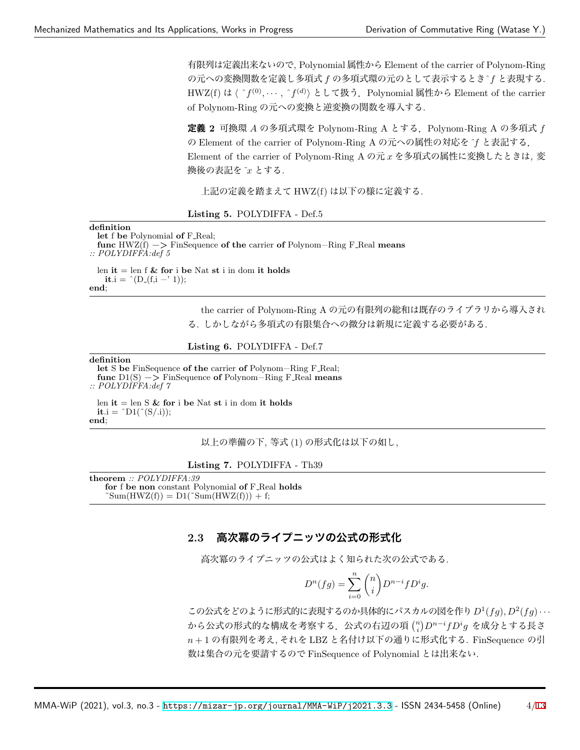有限列は定義出来ないので, Polynomial 属性から Element of the carrier of Polynom-Ring の元への変換関数を定義し多項式 *f* の多項式環の元のとして表示するときˆ*f* と表現する. HWZ(f) は 〈 ^ $f^{(0)}, \cdots,$  ^ $f^{(d)}$ 〉として扱う.Polynomial 属性から Element of the carrier of Polynom-Ring の元への変換と逆変換の関数を導入する.

**定義 2** 可換環 *A* の多項式環を Polynom*-*Ring A とする.Polynom*-*Ring A の多項式 *f* の Element of the carrier of Polynom*-*Ring A の元への属性の対応を*ˆf* と表記する. Element of the carrier of Polynom*-*Ring A の元 *x* を多項式の属性に変換したときは*,* 変 換後の表記を*˜x* とする*.*

上記の定義を踏まえて HWZ(f) は以下の様に定義する.



**definition**

**let** f **be** Polynomial **of** F Real; **func** HWZ(f) −*>* FinSequence **of the** carrier **of** Polynom−Ring F Real **means** *:: POLYDIFFA:def 5*

len **it** = len f **& for** i **be** Nat **st** i in dom **it holds it**.i =  $\hat{D}(D_{-}(f, i - 1));$ **end**;

> the carrier of Polynom-Ring A の元の有限列の総和は既存のライブラリから導入され る. しかしながら多項式の有限集合への微分は新規に定義する必要がある.

**Listing 6.** POLYDIFFA - Def.7

**definition**

**let** S **be** FinSequence **of the** carrier **of** Polynom−Ring F Real; **func** D1(S) −*>* FinSequence **of** Polynom−Ring F Real **means** *:: POLYDIFFA:def 7*

len **it** = len S **& for** i **be** Nat **st** i in dom **it holds it**.i =  $\hat{D}1(\tilde{S}(\tilde{S})).$ **end**;

以上の準備の下, 等式 (1) の形式化は以下の如し,

**Listing 7.** POLYDIFFA - Th39

**theorem** *:: POLYDIFFA:39* **for** f **be non** constant Polynomial **of** F Real **holds**  $\text{Sum}(\text{HWZ}(f)) = \text{D1}(\text{Sum}(\text{HWZ}(f))) + f;$ 

### **2.3 高次冪のライプニッツの公式の形式化**

高次冪のライプニッツの公式はよく知られた次の公式である.

$$
D^{n}(fg) = \sum_{i=0}^{n} {n \choose i} D^{n-i} f D^{i} g.
$$

この公式をどのように形式的に表現するのか具体的にパスカルの図を作り*D*<sup>1</sup> (*fg*)*, D*<sup>2</sup> (*fg*)*· · ·* から公式の形式的な構成を考察する.公式の右辺の項 (*<sup>n</sup> i* ) *D<sup>n</sup>−<sup>i</sup>fD<sup>i</sup> g* を成分とする長さ *n* + 1 の有限列を考え, それを LBZ と名付け以下の通りに形式化する. FinSequence の引 数は集合の元を要請するので FinSequence of Polynomial とは出来ない.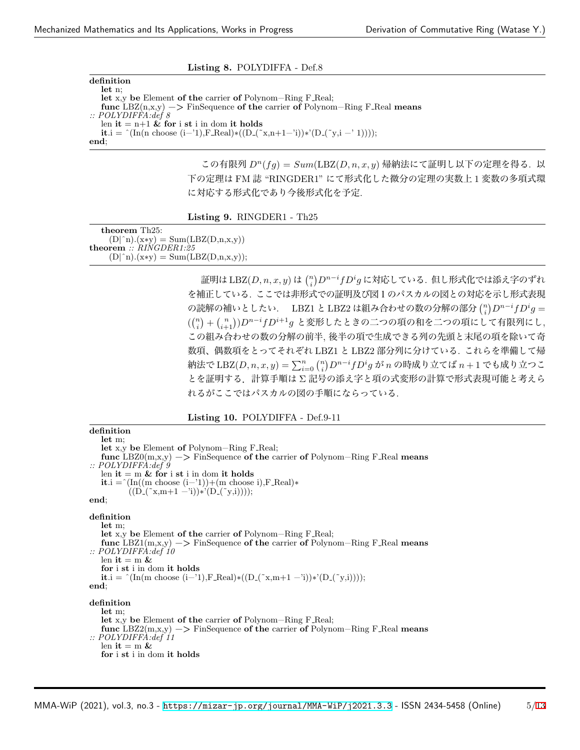| Listing 8. POLYDIFFA - Def.8                                                                     |
|--------------------------------------------------------------------------------------------------|
| definition                                                                                       |
| let n:                                                                                           |
| let x,y be Element of the carrier of Polynom-Ring $F_{\text{Real}}$ ;                            |
| func LBZ(n,x,y) $\Rightarrow$ FinSequence of the carrier of Polynom–Ring F.Real means            |
| $\therefore$ POLYDIFFA:def 8                                                                     |
| len it $= n+1$ & for i st i in dom it holds                                                      |
| <b>it.</b> i = $(\text{In(n choose } (i-1), F\text{-Real}) * ((D_-(x,n+1-i)) * (D_-(y,i-1))))$ ; |
| end:                                                                                             |

この有限列 *Dn*(*fg*) = *Sum*(LBZ(*D, n, x, y*) 帰納法にて証明し以下の定理を得る. 以 下の定理は FM 誌 "RINGDER1" にて形式化した微分の定理の実数上 1 変数の多項式環 に対応する形式化であり今後形式化を予定.

**Listing 9.** RINGDER1 - Th25

**theorem** Th25:  $(D \mid \hat{n}) \cdot (x*y) = Sum(LBZ(D,n,x,y))$ **theorem** *:: RINGDER1:25*  $(D \mid \hat{p}_n)(x*y) = Sum(LBZ(D,n,x,y));$ 

> 証明は LBZ(*D, n, x, y*) は (*n i* ) *Dn−ifD<sup>i</sup> g* に対応している. 但し形式化では添え字のずれ を補正している. ここでは非形式での証明及び図1のパスカルの図との対応を示し形式表現 の読解の補いとしたい. LBZ1 と LBZ2 は組み合わせの数の分解の部分 (*<sup>n</sup> i* ) *Dn−ifD<sup>i</sup> g* = ( (*n i* ) + ( *n i*+1) )*Dn−ifDi*+1*g* と変形したときの二つの項の和を二つの項にして有限列にし, この組み合わせの数の分解の前半, 後半の項で生成できる列の先頭と末尾の項を除いて奇 数項、偶数項をとってそれぞれ LBZ1 と LBZ2 部分列に分けている. これらを準備して帰 納法で LBZ(*D, n, x, y*) = ∑*<sup>n</sup> <sup>i</sup>*=0 (*<sup>n</sup> i* ) *Dn−ifD<sup>i</sup> g* が *n* の時成り立てば *n* + 1 でも成り立つこ とを証明する.計算手順は Σ 記号の添え字と項の式変形の計算で形式表現可能と考えら れるがここではパスカルの図の手順にならっている.

#### **Listing 10.** POLYDIFFA - Def.9-11

**definition let** m; **let** x,y **be** Element **of** Polynom−Ring F Real; **func** LBZ0(m,x,y) −*>* FinSequence **of the** carrier **of** Polynom−Ring F Real **means** *:: POLYDIFFA:def 9* len  $it = m \&$  for i st i in dom it holds **it**.i = ^(In((m choose (i−'1))+(m choose i),F\_Real)\*  $((D_-(\tilde{x}, m+1 - i)) * (D_-(\tilde{x}, i))))$ ; **end**; **definition let** m; **let** x,y **be** Element **of the** carrier **of** Polynom−Ring F Real; **func** LBZ1(m,x,y) −*>* FinSequence **of the** carrier **of** Polynom−Ring F Real **means** *:: POLYDIFFA:def 10* len  $it = m$  & **for** i **st** i in dom **it holds it**.i = ^(In(m choose (i−'1),F\_Real)\*((D\_(~x,m+1 -'i))\*'(D\_(~y,i)))); **end**; **definition let** m; **let** x,y **be** Element **of the** carrier **of** Polynom−Ring F Real; **func** LBZ2(m,x,y) −*>* FinSequence **of the** carrier **of** Polynom−Ring F Real **means** *:: POLYDIFFA:def 11* len  $\mathbf{it} = \mathbf{m} \&$ **for** i **st** i in dom **it holds**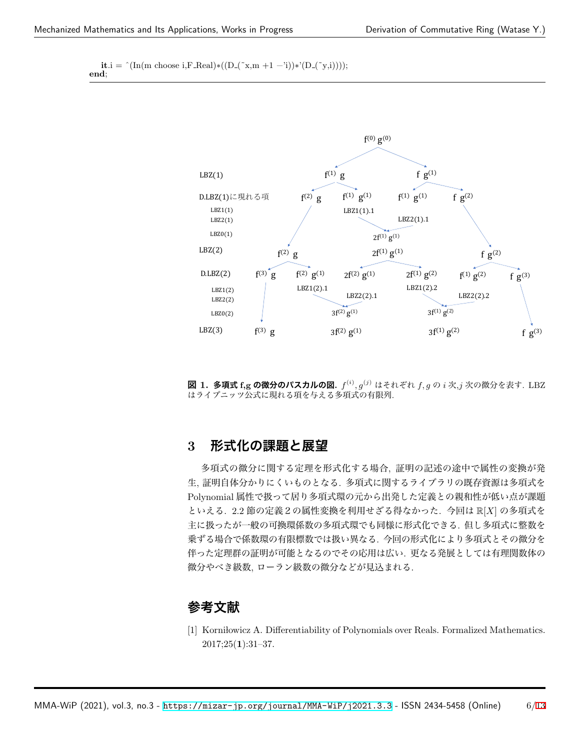**it**.i = ^(In(m choose i,F\_Real)\*((D\_(~x,m +1 -'i))\*'(D\_(~y,i)))); **end**;



**図 1. 多項式 f,g の微分のパスカルの図.** *f* (*i*) *, g*(*j*) はそれぞれ *f, g* の *i* 次,*j* 次の微分を表す. LBZ はライプニッツ公式に現れる項を与える多項式の有限列.

## **3 形式化の課題と展望**

多項式の微分に関する定理を形式化する場合, 証明の記述の途中で属性の変換が発 生, 証明自体分かりにくいものとなる. 多項式に関するライブラリの既存資源は多項式を Polynomial 属性で扱って居り多項式環の元から出発した定義との親和性が低い点が課題 といえる. 2.2 節の定義2の属性変換を利用せざる得なかった. 今回は R[*X*] の多項式を 主に扱ったが一般の可換環係数の多項式環でも同様に形式化できる. 但し多項式に整数を 乗ずる場合で係数環の有限標数では扱い異なる. 今回の形式化により多項式とその微分を 伴った定理群の証明が可能となるのでその応用は広い. 更なる発展としては有理関数体の 微分やべき級数, ローラン級数の微分などが見込まれる.

# **参考文献**

<span id="page-5-0"></span>[1] Korni lowicz A. Differentiability of Polynomials over Reals. Formalized Mathematics. 2017;25(**1**):31–37.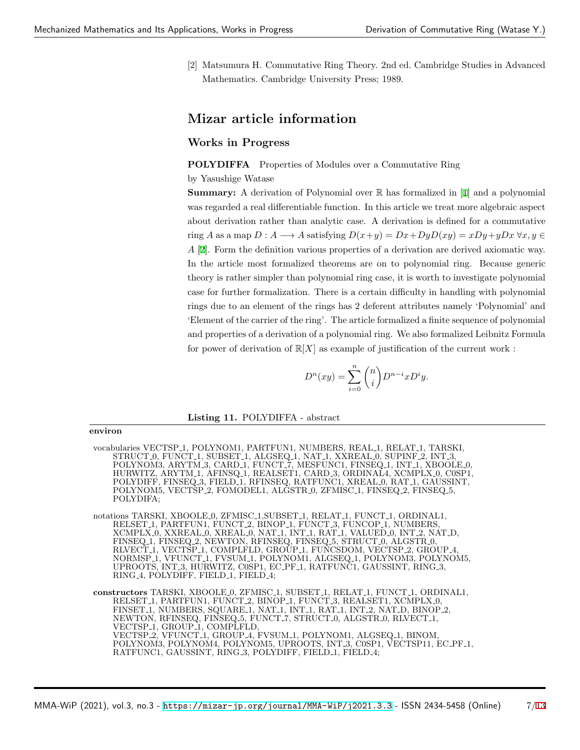<span id="page-6-0"></span>[2] Matsumura H. Commutative Ring Theory. 2nd ed. Cambridge Studies in Advanced Mathematics. Cambridge University Press; 1989.

# **Mizar article information**

## **Works in Progress**

**POLYDIFFA** Properties of Modules over a Commutative Ring

by Yasushige Watase

**Summary:** A derivation of Polynomial over R has formalized in [[1\]](#page-5-0) and a polynomial was regarded a real differentiable function. In this article we treat more algebraic aspect about derivation rather than analytic case. A derivation is defined for a commutative ring *A* as a map  $D: A \longrightarrow A$  satisfying  $D(x+y) = Dx + DyD(xy) = xDy + yDx \,\forall x, y \in A$ *A* [\[2](#page-6-0)]. Form the definition various properties of a derivation are derived axiomatic way. In the article most formalized theorems are on to polynomial ring. Because generic theory is rather simpler than polynomial ring case, it is worth to investigate polynomial case for further formalization. There is a certain difficulty in handling with polynomial rings due to an element of the rings has 2 deferent attributes namely 'Polynomial' and 'Element of the carrier of the ring'. The article formalized a finite sequence of polynomial and properties of a derivation of a polynomial ring. We also formalized Leibnitz Formula for power of derivation of  $\mathbb{R}[X]$  as example of justification of the current work :

$$
D^n(xy)=\sum_{i=0}^n\binom{n}{i}D^{n-i}xD^iy.
$$

#### **Listing 11.** POLYDIFFA - abstract

**environ**

vocabularies VECTSP<sub>-1</sub>, POLYNOM1, PARTFUN1, NUMBERS, REAL<sub>-1</sub>, RELAT<sub>-1</sub>, TARSKI, STRUCT 0, FUNCT 1, SUBSET 1, ALGSEQ 1, NAT 1, XXREAL 0, SUPINF 2, INT 3, POLYNOM3, ARYTM 3, CARD 1, FUNCT 7, MESFUNC1, FINSEQ 1, INT 1, XBOOLE 0, HURWITZ, ARYTM 1, AFINSQ 1, REALSET1, CARD 3, ORDINAL4, XCMPLX 0, C0SP1, POLYDIFF, FINSEQ 3, FIELD 1, RFINSEQ, RATFUNC1, XREAL 0, RAT 1, GAUSSINT, POLYNOM5, VECTSP\_2, FOMODEL1, ALGSTR\_0, ZFMISC\_1, FINSEQ\_2, FINSEQ\_5, POLYDIFA;

notations TARSKI, XBOOLE 0, ZFMISC 1, SUBSET 1, RELAT 1, FUNCT 1, ORDINAL1, RELSET 1, PARTFUN1, FUNCT 2, BINOP 1, FUNCT 3, FUNCOP 1, NUMBERS XCMPLX 0, XXREAL 0, XREAL 0, NAT 1, INT 1, RAT 1, VALUED 0, INT 2, NAT D, FINSEQ 1, FINSEQ 2, NEWTON, RFINSEQ, FINSEQ 5, STRUCT 0, ALGSTR 0, RLVECT 1, VECTSP 1, COMPLFLD, GROUP 1, FUNCSDOM, VECTSP 2, GROUP 4, NORMSP 1, VFUNCT 1, FVSUM 1, POLYNOM1, ALGSEQ 1, POLYNOM3, POLYNOM5, UPROOTS, INT 3, HURWITZ, C0SP1, EC PF 1, RATFUNC1, GAUSSINT, RING 3, RING<sub>-4</sub>, POLYDIFF, FIELD<sub>-1</sub>, FIELD<sub>-4</sub>;

**constructors** TARSKI, XBOOLE 0, ZFMISC 1, SUBSET 1, RELAT 1, FUNCT 1, ORDINAL1, RELSET 1, PARTFUN1, FUNCT 2, BINOP 1, FUNCT 3, REALSET1, XCMPLX 0, FINSET 1, NUMBERS, SQUARE 1, NAT 1, INT 1, RAT 1, INT 2, NAT D, BINOP 2, NEWTON, RFINSEQ, FINSEQ 5, FUNCT 7, STRUCT 0, ALGSTR 0, RLVECT 1, VECTSP<sub>-1</sub>, GROUP<sub>-1</sub>, COMPLFLD, VECTSP<sub>-2</sub>, VFUNCT<sub>-1</sub>, GROUP<sub>-4</sub>, FVSUM<sub>-1</sub>, POLYNOM1, ALGSEQ<sub>-1</sub>, BINOM, POLYNOM3, POLYNOM4, POLYNOM5, UPROOTS, INT 3, C0SP1, VECTSP11, EC PF 1, RATFUNC1, GAUSSINT, RING 3, POLYDIFF, FIELD 1, FIELD 4;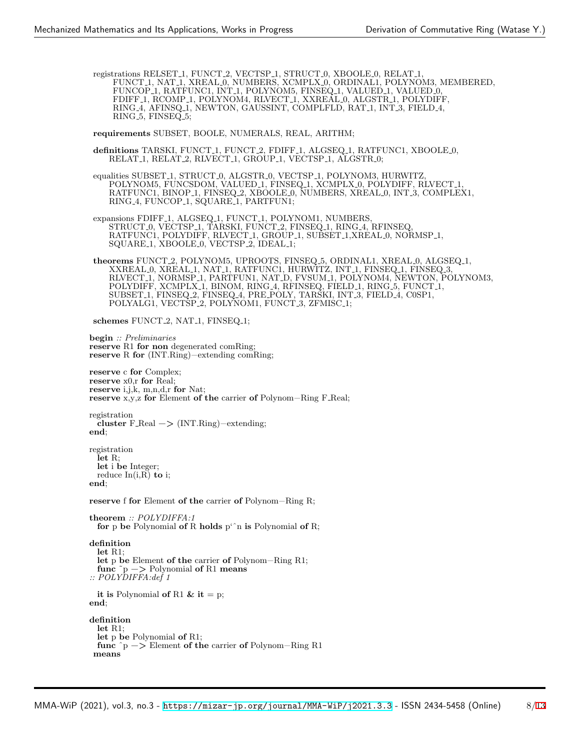registrations RELSET<sub>-1</sub>, FUNCT<sub>-2</sub>, VECTSP<sub>-1</sub>, STRUCT<sub>-0</sub>, XBOOLE<sub>-0</sub>, RELAT<sub>-1</sub>, FUNCT 1, NAT 1, XREAL 0, NUMBERS, XCMPLX 0, ORDINAL1, POLYNOM3, MEMBERED, FUNCOP<sub>1</sub>, RATFUNC1, INT<sub>1</sub>, POLYNOM5, FINSEQ<sub>1</sub>, VALUED<sub>1</sub>, VALUED<sub>0</sub>, FDIFF 1, RCOMP 1, POLYNOM4, RLVECT 1, XXREAL 0, ALGSTR 1, POLYDIFF, RING 4, AFINSQ 1, NEWTON, GAUSSINT, COMPLFLD, RAT 1, INT 3, FIELD 4, RING<sub>-5</sub>, FINSEQ<sub>-5</sub>;

**requirements** SUBSET, BOOLE, NUMERALS, REAL, ARITHM;

definitions TARSKI, FUNCT<sub>-1</sub>, FUNCT<sub>-2</sub>, FDIFF<sub>-1</sub>, ALGSEQ<sub>-1</sub>, RATFUNC1, XBOOLE<sub>-0</sub>, RELAT 1, RELAT 2, RLVECT 1, GROUP 1, VECTSP 1, ALGSTR 0;

equalities SUBSET 1, STRUCT 0, ALGSTR 0, VECTSP 1, POLYNOM3, HURWITZ, POLYNOM5, FUNCSDOM, VALUED<sub>-1</sub>, FINSEQ<sub>-1</sub>, XCMPLX<sub>-0</sub>, POLYDIFF, RLVECT<sub>-1</sub> RATFUNC1, BINOP 1, FINSEQ 2, XBOOLE 0, NUMBERS, XREAL 0, INT 3, COMPLEX1, RING 4, FUNCOP 1, SQUARE 1, PARTFUN1;

expansions FDIFF<sub>-1</sub>, ALGSEQ<sub>-1</sub>, FUNCT<sub>-1</sub>, POLYNOM1, NUMBERS, STRUCT 0, VECTSP 1, TARSKI, FUNCT 2, FINSEQ 1, RING 4, RFINSEQ. RATFUNC1, POLYDIFF, RLVECT 1, GROUP 1, SUBSET 1,XREAL 0, NORMSP 1, SQUARE<sub>1</sub>, XBOOLE<sub>0</sub>, VECTSP<sub>-2</sub>, IDEAL<sub>1</sub>;

**theorems** FUNCT 2, POLYNOM5, UPROOTS, FINSEQ 5, ORDINAL1, XREAL 0, ALGSEQ 1, XXREAL 0, XREAL 1, NAT 1, RATFUNC1, HURWITZ, INT 1, FINSEQ 1, FINSEQ 3, RLVECT 1, NORMSP 1, PARTFUN1, NAT D, FVSUM 1, POLYNOM4, NEWTON, POLYNOM3, POLYDIFF, XCMPLX<sub>-1</sub>, BINOM, RING<sub>-4</sub>, RFINSEQ, FIELD<sub>-1</sub>, RING<sub>-5</sub>, FUNCT<sub>-1</sub>, SUBSET 1, FINSEQ 2, FINSEQ 4, PRE POLY, TARSKI, INT 3, FIELD 4, C0SP1, POLYALG1, VECTSP\_2, POLYNOM1, FUNCT\_3, ZFMISC\_1;

schemes FUNCT<sub>-2</sub>, NAT<sub>-1</sub>, FINSEQ<sub>-1</sub>;

**begin** *:: Preliminaries* **reserve** R1 **for non** degenerated comRing; **reserve** R **for** (INT.Ring)−extending comRing;

```
reserve c for Complex;
reserve x0,r for Real;
reserve i,j,k, m,n,d,r for Nat;
reserve x,y,z for Element of the carrier of Polynom−Ring F Real;
```
registration **cluster** F Real −*>* (INT.Ring)−extending; **end**;

registration **let** R; **let** i **be** Integer; reduce  $In(i,R)$  **to** i; **end**;

**reserve** f **for** Element **of the** carrier **of** Polynom−Ring R;

```
theorem :: POLYDIFFA:1
 for p be Polynomial of R holds p'ˆn is Polynomial of R;
definition
 let R1;
 let p be Element of the carrier of Polynom−Ring R1;
 func ˜p −> Polynomial of R1 means
:: POLYDIFFA:def 1
 it is Polynomial of R1 \& it = p;
end;
definition
 let R1;
 let p be Polynomial of R1;
 func ˆp −> Element of the carrier of Polynom−Ring R1
means
```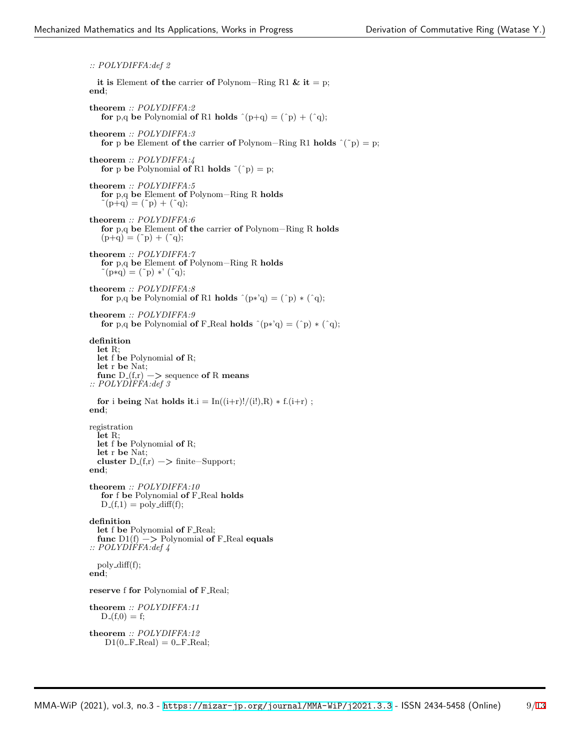*:: POLYDIFFA:def 2* **it is** Element **of the** carrier **of** Polynom−Ring R1 **& it** = p; **end**; **theorem** *:: POLYDIFFA:2* **for** p,q be Polynomial **of** R1 **holds**  $^{\circ}$ (p+q) = ( $^{\circ}$ p) + ( $^{\circ}$ q); **theorem** *:: POLYDIFFA:3* **for** p **be** Element **of the** carrier **of** Polynom–Ring R1 **holds**  $\hat{ }$   $($ ~p $)$  = p; **theorem** *:: POLYDIFFA:4* **for** p **be** Polynomial **of** R1 **holds**  $\tilde{f}(^{\circ}p) = p$ ; **theorem** *:: POLYDIFFA:5* **for** p,q **be** Element **of** Polynom−Ring R **holds**  $\tilde{f}(p+q) = (\tilde{f}p) + (\tilde{f}q);$ **theorem** *:: POLYDIFFA:6* **for** p,q **be** Element **of the** carrier **of** Polynom−Ring R **holds**  $(p+q) = (^{\circ}p) + (^{\circ}q);$ **theorem** *:: POLYDIFFA:7* **for** p,q **be** Element **of** Polynom−Ring R **holds**  $\tilde{p}(p * q) = (\tilde{p}) *' (\tilde{q});$ **theorem** *:: POLYDIFFA:8* **for** p,q be Polynomial **of** R1 **holds**  $\hat{p}(p * q) = (\hat{p}) * (\hat{q})$ ; **theorem** *:: POLYDIFFA:9* **for** p,q be Polynomial **of** F\_Real **holds**  $\hat{p}(p * q) = (\hat{p}) * (\hat{q})$ ; **definition let** R; **let** f **be** Polynomial **of** R; **let** r **be** Nat; **func**  $D(f,r) \rightarrow$  sequence **of** R **means** *:: POLYDIFFA:def 3* **for** i **being** Nat **holds** it.i =  $\text{In}((i+r)!/(i!)$ ,R)  $*$  f.( $i+r$ ); **end**; registration **let** R; **let** f **be** Polynomial **of** R; **let** r **be** Nat; **cluster**  $D_{-}(f,r) \rightarrow \text{finite–Support}$ ; **end**; **theorem** *:: POLYDIFFA:10* **for** f **be** Polynomial **of** F Real **holds**  $D_{-}(f,1) = \text{poly-diff}(f);$ **definition let** f **be** Polynomial **of** F Real; func  $D1(f)$  −> Polynomial of F\_Real equals *:: POLYDIFFA:def 4*  $poly\_diff(f);$ **end**; **reserve** f **for** Polynomial **of** F Real; **theorem** *:: POLYDIFFA:11*  $D_-(f,0) = f;$ **theorem** *:: POLYDIFFA:12*  $D1(0$ ...F $Real) = 0$ ...F $Real;$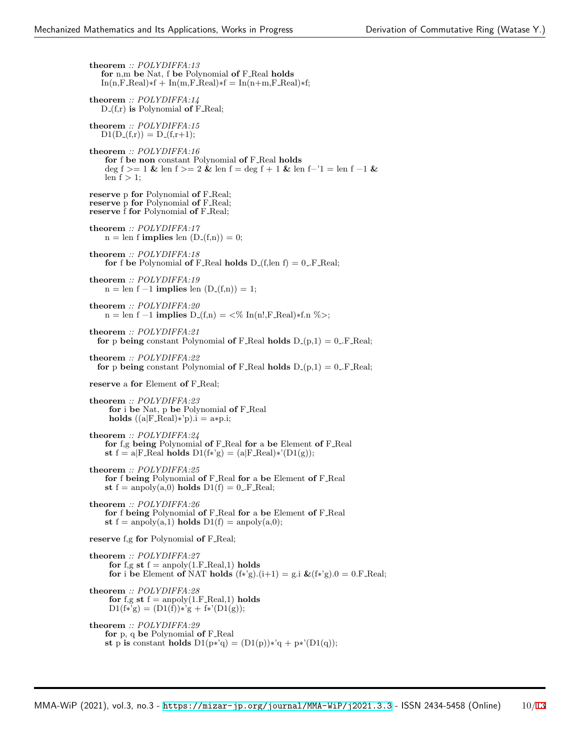**theorem** *:: POLYDIFFA:13* **for** n,m **be** Nat, f **be** Polynomial **of** F Real **holds**  $In(n, F, Real)*f + In(m, F, Real)*f = In(n+m, F, Real)*f;$ **theorem** *:: POLYDIFFA:14* D (f,r) **is** Polynomial **of** F Real; **theorem** *:: POLYDIFFA:15*  $D1(D_{-}(f,r)) = D_{-}(f,r+1);$ **theorem** *:: POLYDIFFA:16* **for** f **be non** constant Polynomial **of** F Real **holds** deg f *>*= 1 **&** len f *>*= 2 **&** len f = deg f + 1 **&** len f−'1 = len f −1 **&** len  $f > 1$ ; **reserve** p **for** Polynomial **of** F Real; **reserve** p **for** Polynomial **of** F\_Real; **reserve** f **for** Polynomial **of** F Real; **theorem** *:: POLYDIFFA:17*  $n = len$  **f implies** len  $(D_-(f,n)) = 0;$ **theorem** *:: POLYDIFFA:18* **for** f be Polynomial **of** F\_Real **holds**  $D_{-}(f, len f) = 0$ . F\_Real; **theorem** *:: POLYDIFFA:19*  $n = len f -1$  **implies** len  $(D_{-}(f,n)) = 1$ ; **theorem** *:: POLYDIFFA:20* n = len f −1 **implies** D (f,n) = *<*% In(n!,F Real)∗f.n %*>*; **theorem** *:: POLYDIFFA:21* **for** p **being** constant Polynomial **of** F\_Real **holds**  $D(p,1) = 0$ . F\_Real; **theorem** *:: POLYDIFFA:22* **for** p **being** constant Polynomial **of** F\_Real **holds**  $D_-(p,1) = 0$ . F\_Real; **reserve** a **for** Element **of** F Real; **theorem** *:: POLYDIFFA:23* **for** i **be** Nat, p **be** Polynomial **of** F Real **holds**  $((a|F_{\text{Real}})*'p).i = a * p.i;$ **theorem** *:: POLYDIFFA:24* **for** f,g **being** Polynomial **of** F Real **for** a **be** Element **of** F Real **st**  $f = a|F$ -Real **holds**  $D1(f*g) = (a|F$ -Real)\*' $(D1(g));$ **theorem** *:: POLYDIFFA:25* **for** f **being** Polynomial **of** F Real **for** a **be** Element **of** F Real **st**  $f =$  anpoly(a,0) **holds**  $D1(f) = 0$ . **F** Real; **theorem** *:: POLYDIFFA:26* **for** f **being** Polynomial **of** F Real **for** a **be** Element **of** F Real **st**  $f = \text{anpoly}(a,1)$  **holds**  $D1(f) = \text{anpoly}(a,0);$ **reserve** f,g **for** Polynomial **of** F\_Real; **theorem** *:: POLYDIFFA:27* **for**  $f, g \text{ st } f = \text{anpoly}(1.F\_Real, 1) \text{ holds}$ **for** i **be** Element **of** NAT **holds**  $(f*g)(i+1) = g.i \& (f*g)(0) = 0.F\_Real;$ **theorem** *:: POLYDIFFA:28* **for** f,g st  $f =$  anpoly(1.F\_Real,1) **holds**  $D1(f*g) = (D1(f))*g + f*D1(g));$ **theorem** *:: POLYDIFFA:29* **for** p, q **be** Polynomial **of** F Real **st** p **is** constant **holds**  $D1(p*'q) = (D1(p))*'q + p*'(D1(q));$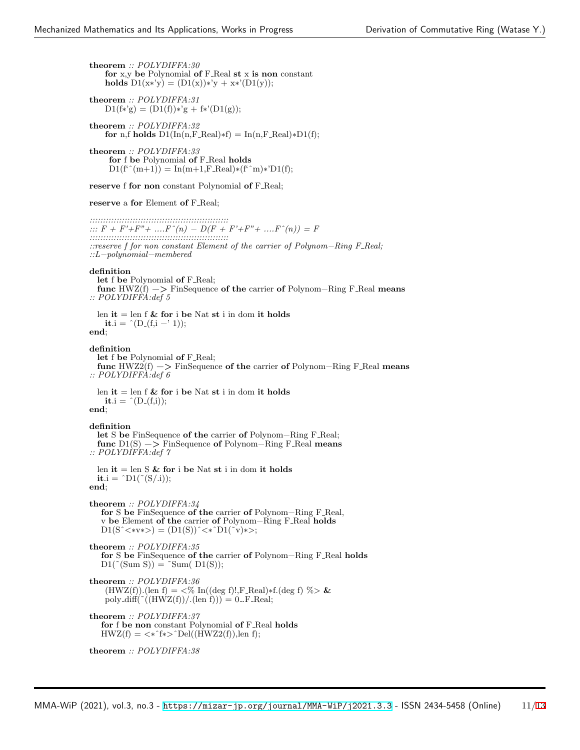**theorem** *:: POLYDIFFA:30* **for** x,y **be** Polynomial **of** F Real **st** x **is non** constant **holds**  $D1(x*y) = (D1(x))*y + x*(D1(y));$ 

**theorem** *:: POLYDIFFA:31*  $D1(f*'g) = (D1(f))*'g + f*'(D1(g));$ 

**theorem** *:: POLYDIFFA:32* **for** n,f **holds**  $D1(\text{In}(n, F_{\text{1}\text{Real}})*f) = \text{In}(n, F_{\text{1}\text{Real}})*D1(f);$ 

**theorem** *:: POLYDIFFA:33* **for** f **be** Polynomial **of** F Real **holds**  $D1(f^{\hat{ }}\hat{}(m+1)) = \text{In}(m+1,\text{F}\text{.}Real)*(f^{\hat{ }}\hat{}(m)*\hat{D}1(f);$ 

**reserve** f **for non** constant Polynomial **of** F Real;

#### **reserve** a **for** Element **of** F Real;

*:::::::::::::::::::::::::::::::::::::::::::::::::::: ::: F + F'+F"+ ....Fˆ(n) − D(F + F'+F"+ ....Fˆ(n)) = F :::::::::::::::::::::::::::::::::::::::::::::::::::: ::reserve f for non constant Element of the carrier of Polynom−Ring F Real; ::L−polynomial−membered*

#### **definition**

**let** f **be** Polynomial **of** F Real; **func** HWZ(f) −*>* FinSequence **of the** carrier **of** Polynom−Ring F Real **means** *:: POLYDIFFA:def 5*

len  $it = len f \& for i be Nat st i in dom it holds$ **it**.i =  $\hat{D}(D_{-}(f,i - 1));$ **end**;

### **definition**

**let** f **be** Polynomial **of** F Real; **func** HWZ2(f) −*>* FinSequence **of the** carrier **of** Polynom−Ring F Real **means** *:: POLYDIFFA:def 6*

len **it** = len f **& for** i **be** Nat **st** i in dom **it holds it**.i =  $^{\circ}$ (D<sub>-</sub>(f,i)); **end**;

**definition let** S **be** FinSequence **of the** carrier **of** Polynom−Ring F Real; **func** D1(S) −*>* FinSequence **of** Polynom−Ring F Real **means** *:: POLYDIFFA:def 7*

len **it** = len S **& for** i **be** Nat **st** i in dom **it holds**  $\mathbf{it}.i = \text{`D1}(\text{`}(S/\text{.}i));$ **end**;

**theorem** *:: POLYDIFFA:34* **for** S **be** FinSequence **of the** carrier **of** Polynom−Ring F Real, v **be** Element **of the** carrier **of** Polynom−Ring F Real **holds** D1(S<sup> $\hat{~}$ </sup> <∗v\*>) = (D1(S)) $\hat{~}$  <\* $\hat{~}$ D1( $\hat{~}$ v)\*>;

**theorem** *:: POLYDIFFA:35* **for** S **be** FinSequence **of the** carrier **of** Polynom−Ring F Real **holds**  $D1(\text{``}(Sum S)) = \text{``Sum}( D1(S));$ 

**theorem** *:: POLYDIFFA:36* (HWZ(f)).(len f) = *<*% In((deg f)!,F Real)∗f.(deg f) %*>* **&** poly\_diff( $\tilde{\ }((HWZ(f))/(len f))) = 0$ .F\_Real;

```
theorem :: POLYDIFFA:37
   for f be non constant Polynomial of F Real holds
   HWZ(f) = \langle * \hat{f} * \rangle^{\wedge} \text{Del}((HWZ2(f)), \text{len } f);
```

```
theorem :: POLYDIFFA:38
```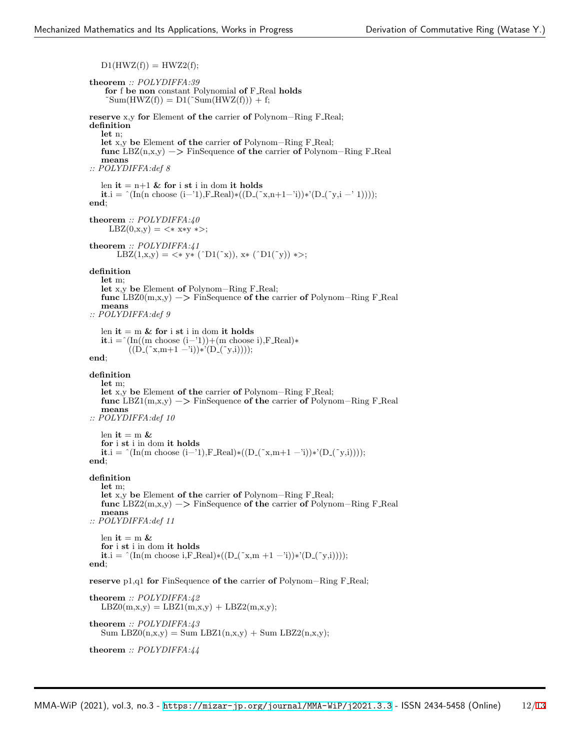$D1(HWZ(f)) = HWZ2(f);$ **theorem** *:: POLYDIFFA:39* **for** f **be non** constant Polynomial **of** F Real **holds**  $\text{Sum}(\text{HWZ}(f)) = \text{D1}(\text{Sum}(\text{HWZ}(f))) + f;$ **reserve** x,y **for** Element **of the** carrier **of** Polynom−Ring F Real; **definition let** n; **let** x,y **be** Element **of the** carrier **of** Polynom−Ring F Real; **func** LBZ(n,x,y) −*>* FinSequence **of the** carrier **of** Polynom−Ring F Real **means** *:: POLYDIFFA:def 8* len  $it = n+1$  & for i st i in dom it holds **it**.i = ^(In(n choose (i–'1),F\_Real)\*((D\_(~x,n+1-'i))\*'(D\_(~y,i -' 1)))); **end**; **theorem** *:: POLYDIFFA:40*  $LBZ(0,x,y) = \langle * \rangle x * y \rangle;$ **theorem** *:: POLYDIFFA:41* LBZ(1,x,y) = *<*∗ y∗ (ˆD1(˜x)), x∗ (ˆD1(˜y)) ∗*>*; **definition let** m; **let** x,y **be** Element **of** Polynom−Ring F Real; **func** LBZ0(m,x,y) −*>* FinSequence **of the** carrier **of** Polynom−Ring F Real **means** *:: POLYDIFFA:def 9* len  $it = m \&$  for *i* st *i* in dom *it* holds **it**.i =  $(\text{In}((\text{m choose } (i-1)) + (\text{m choose } i), \text{F\_Real})$ \*  $((D_-(\tilde{x}, m+1 - i)) * (D_-(\tilde{x}, i))))$ ; **end**; **definition let** m; **let** x,y **be** Element **of the** carrier **of** Polynom−Ring F Real; **func** LBZ1(m,x,y) −*>* FinSequence **of the** carrier **of** Polynom−Ring F Real **means** *:: POLYDIFFA:def 10* len  $it = m \&$ **for** i **st** i in dom **it holds it**.i = ^(In(m choose (i−'1),F\_Real)\*((D\_(~x,m+1 -'i))\*'(D\_(~y,i)))); **end**; **definition let** m; **let** x,y **be** Element **of the** carrier **of** Polynom−Ring F Real; **func** LBZ2(m,x,y) −*>* FinSequence **of the** carrier **of** Polynom−Ring F Real **means** *:: POLYDIFFA:def 11* len  $it = m$  & **for** i **st** i in dom **it holds it**.i = ^(In(m choose i,F\_Real)\*((D\_(~x,m +1 -'i))\*'(D\_(~y,i)))); **end**; **reserve** p1,q1 **for** FinSequence **of the** carrier **of** Polynom−Ring F Real; **theorem** *:: POLYDIFFA:42*  $LBZ0(m,x,y) = LBZ1(m,x,y) + LBZ2(m,x,y);$ **theorem** *:: POLYDIFFA:43* Sum LBZ0(n,x,y) = Sum LBZ1(n,x,y) + Sum LBZ2(n,x,y);

**theorem** *:: POLYDIFFA:44*